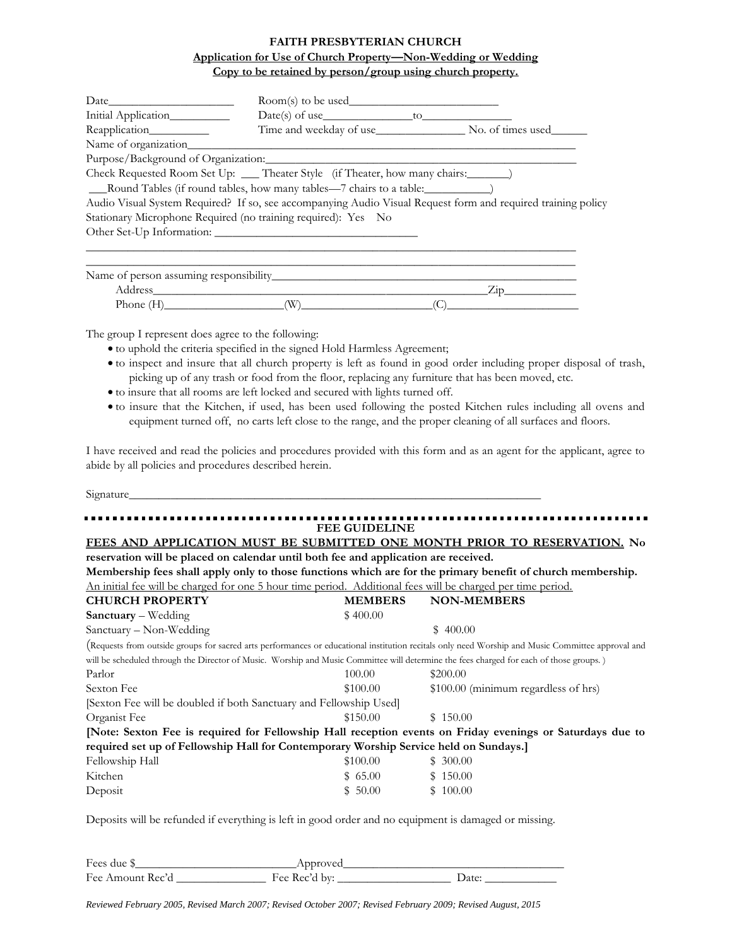## **FAITH PRESBYTERIAN CHURCH Application for Use of Church Property—Non-Wedding or Wedding Copy to be retained by person/group using church property.**

|                     | $Room(s)$ to be used                                                                                                                                                                                                                         |                                                                                                              |  |  |
|---------------------|----------------------------------------------------------------------------------------------------------------------------------------------------------------------------------------------------------------------------------------------|--------------------------------------------------------------------------------------------------------------|--|--|
| Initial Application |                                                                                                                                                                                                                                              |                                                                                                              |  |  |
|                     |                                                                                                                                                                                                                                              | Time and weekday of use No. of times used                                                                    |  |  |
|                     |                                                                                                                                                                                                                                              |                                                                                                              |  |  |
|                     |                                                                                                                                                                                                                                              |                                                                                                              |  |  |
|                     | Check Requested Room Set Up: ____ Theater Style (if Theater, how many chairs: _______)<br>Round Tables (if round tables, how many tables—7 chairs to a table: _____________<br>Stationary Microphone Required (no training required): Yes No | Audio Visual System Required? If so, see accompanying Audio Visual Request form and required training policy |  |  |
|                     |                                                                                                                                                                                                                                              |                                                                                                              |  |  |
|                     |                                                                                                                                                                                                                                              | $\overline{Zip}$                                                                                             |  |  |
|                     | (W)                                                                                                                                                                                                                                          |                                                                                                              |  |  |

The group I represent does agree to the following:

- to uphold the criteria specified in the signed Hold Harmless Agreement;
- to inspect and insure that all church property is left as found in good order including proper disposal of trash, picking up of any trash or food from the floor, replacing any furniture that has been moved, etc.
- to insure that all rooms are left locked and secured with lights turned off.
- to insure that the Kitchen, if used, has been used following the posted Kitchen rules including all ovens and equipment turned off, no carts left close to the range, and the proper cleaning of all surfaces and floors.

I have received and read the policies and procedures provided with this form and as an agent for the applicant, agree to abide by all policies and procedures described herein.

Signature\_\_\_\_\_\_\_\_\_\_\_\_\_\_\_\_\_\_\_\_\_\_\_\_\_\_\_\_\_\_\_\_\_\_\_\_\_\_\_\_\_\_\_\_\_\_\_\_\_\_\_\_\_\_\_\_\_\_\_\_\_\_\_\_\_\_\_\_\_

## **FEE GUIDELINE FEES AND APPLICATION MUST BE SUBMITTED ONE MONTH PRIOR TO RESERVATION. No reservation will be placed on calendar until both fee and application are received. Membership fees shall apply only to those functions which are for the primary benefit of church membership.** An initial fee will be charged for one 5 hour time period. Additional fees will be charged per time period. **CHURCH PROPERTY MEMBERS NON-MEMBERS Sanctuary** – Wedding  $$400.00$  $S$  Sanctuary – Non-Wedding  $$ 400.00$ (Requests from outside groups for sacred arts performances or educational institution recitals only need Worship and Music Committee approval and will be scheduled through the Director of Music. Worship and Music Committee will determine the fees charged for each of those groups.) Parlor  $100.00$  \$200.00 Sexton Fee  $$100.00$   $$100.00$  (minimum regardless of hrs) [Sexton Fee will be doubled if both Sanctuary and Fellowship Used] Organist Fee \$150.00 \$ 150.00 **[Note: Sexton Fee is required for Fellowship Hall reception events on Friday evenings or Saturdays due to required set up of Fellowship Hall for Contemporary Worship Service held on Sundays.]** Fellowship Hall \$100.00 \$ 300.00 Kitchen \$ 65.00 \$ 150.00 Deposit  $$50.00$   $$100.00$

Deposits will be refunded if everything is left in good order and no equipment is damaged or missing.

| Fees due \$      | Approved      |       |
|------------------|---------------|-------|
| Fee Amount Rec'd | Fee Rec'd by: | Date: |

*Reviewed February 2005, Revised March 2007; Revised October 2007; Revised February 2009; Revised August, 2015*